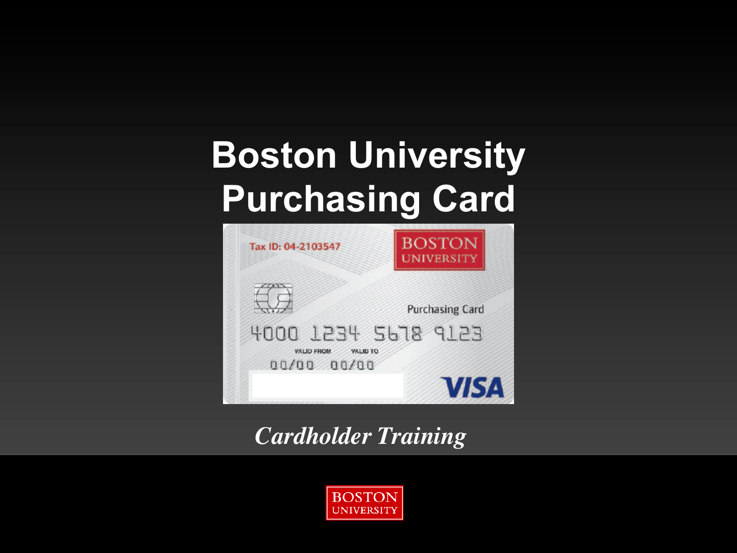## **Boston University Purchasing Card**



*Cardholder Training*

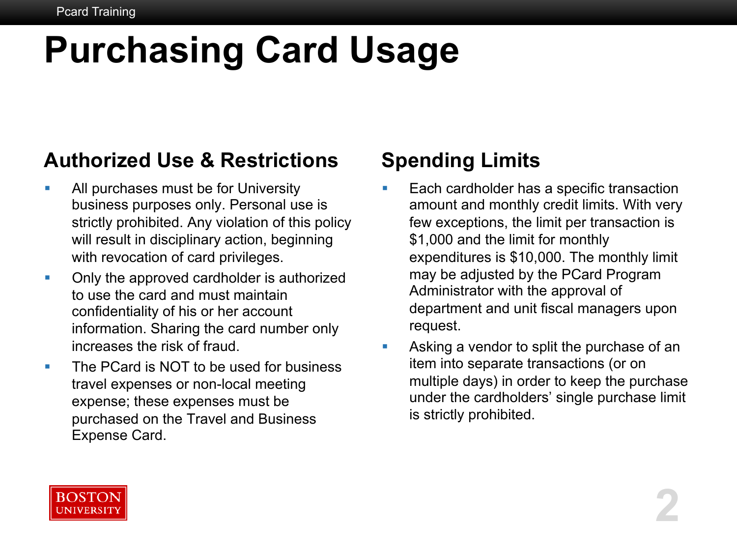# **Purchasing Card Usage**

#### **Authorized Use & Restrictions**

- **All purchases must be for University** business purposes only. Personal use is strictly prohibited. Any violation of this policy will result in disciplinary action, beginning with revocation of card privileges.
- Only the approved cardholder is authorized to use the card and must maintain confidentiality of his or her account information. Sharing the card number only increases the risk of fraud.
- The PCard is NOT to be used for business travel expenses or non-local meeting expense; these expenses must be purchased on the Travel and Business Expense Card.

#### **Spending Limits**

- Each cardholder has a specific transaction amount and monthly credit limits. With very few exceptions, the limit per transaction is \$1,000 and the limit for monthly expenditures is \$10,000. The monthly limit may be adjusted by the PCard Program Administrator with the approval of department and unit fiscal managers upon request.
- Asking a vendor to split the purchase of an item into separate transactions (or on multiple days) in order to keep the purchase under the cardholders' single purchase limit is strictly prohibited.

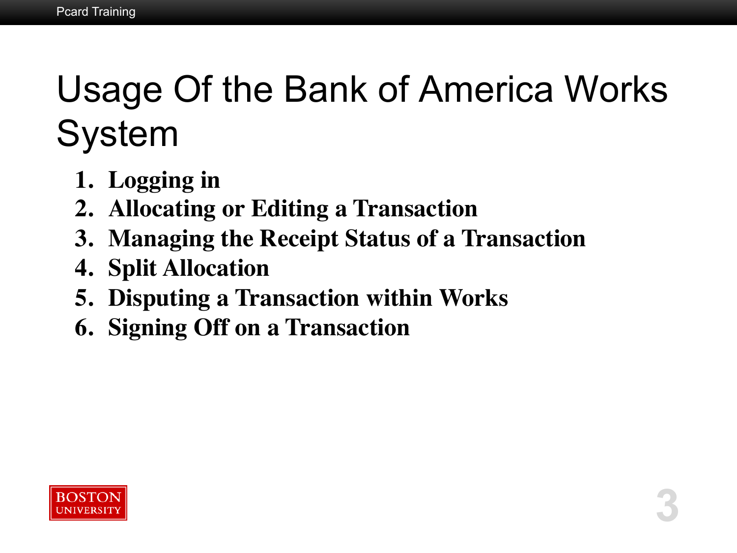## Usage Of the Bank of America Works System

**3** 

- **1. Logging in**
- **2. Allocating or Editing a Transaction**
- **3. Managing the Receipt Status of a Transaction**
- **4. Split Allocation**
- **5. Disputing a Transaction within Works**
- **6. Signing Off on a Transaction**

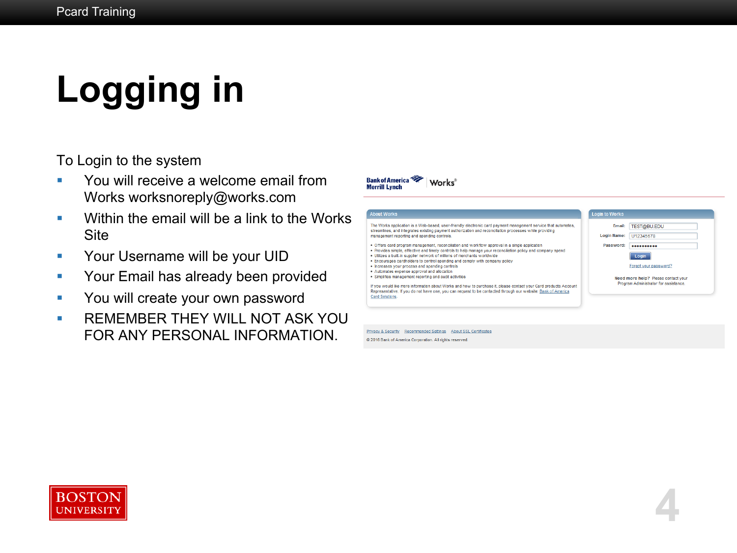# **Logging in**

To Login to the system

- § You will receive a welcome email from Works worksnoreply@works.com
- Within the email will be a link to the Works **Site**
- **Your Username will be your UID**
- **Your Email has already been provided**
- **You will create your own password**
- **E** REMEMBER THEY WILL NOT ASK YOU FOR ANY PERSONAL INFORMATION.



**4** 

Privacy & Security Recommended Settings About SSL Certificates

**Works** 

@ 2016 Bank of America Corporation. All rights reserved.

**Bank of America** 

**Merrill Lynch** 

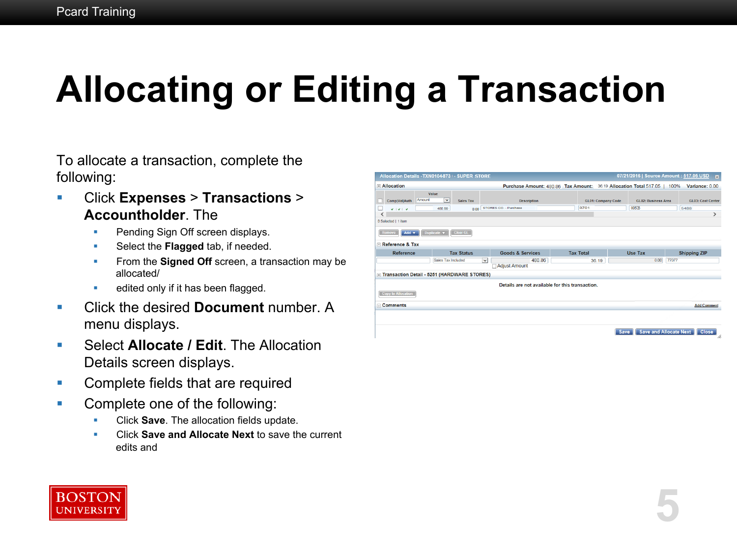# **Allocating or Editing a Transaction**

To allocate a transaction, complete the following:

- § Click **Expenses** > **Transactions** > **Accountholder**. The
	- **Pending Sign Off screen displays.**
	- Select the **Flagged** tab, if needed.
	- **From the Signed Off** screen, a transaction may be allocated/
	- **•** edited only if it has been flagged.
- Click the desired **Document** number. A menu displays.
- Select **Allocate / Edit**. The Allocation Details screen displays.
- Complete fields that are required
- Complete one of the following:
	- § Click **Save**. The allocation fields update.
	- § Click **Save and Allocate Next** to save the current edits and

| $\Box$ Allocation         |                                               | Purchase Amount: 480.86 Tax Amount: 36.19 Allocation Total 517.05   100% |                  |                           |                     | Variance: 0.00      |
|---------------------------|-----------------------------------------------|--------------------------------------------------------------------------|------------------|---------------------------|---------------------|---------------------|
| Amount<br>Comp Val Auth   | Value<br>$\overline{\mathbf{v}}$<br>Sales Tax | <b>Description</b>                                                       |                  | <b>GL01: Company Code</b> | GL02: Business Area | GL03: Cost Center   |
| $V = V + V$               | 480.86<br>0.00                                | STORES CO. - Purchase                                                    | 8701             |                           | 60536               | 5488                |
| ∢                         |                                               |                                                                          |                  |                           |                     |                     |
| 0 Selected   1 item       |                                               |                                                                          |                  |                           |                     |                     |
| Remove<br>Add v           | Duplicate v<br>Clear GL                       |                                                                          |                  |                           |                     |                     |
| Reference & Tax           |                                               |                                                                          |                  |                           |                     |                     |
| <b>Reference</b>          | <b>Tax Status</b>                             | <b>Goods &amp; Services</b>                                              | <b>Tax Total</b> |                           | <b>Use Tax</b>      | <b>Shipping ZIP</b> |
|                           | Sales Tax Included                            | 480.86<br>$\ddot{\phantom{1}}$                                           |                  | 36.19                     | 0.00                | 77077               |
|                           |                                               | <b>Adjust Amount</b>                                                     |                  |                           |                     |                     |
|                           | Transaction Detail - 5251 (HARDWARE STORES)   |                                                                          |                  |                           |                     |                     |
|                           |                                               | Details are not available for this transaction.                          |                  |                           |                     |                     |
| <b>Copy to Allocation</b> |                                               |                                                                          |                  |                           |                     |                     |
|                           |                                               |                                                                          |                  |                           |                     |                     |
|                           |                                               |                                                                          |                  |                           |                     | <b>Add Comment</b>  |
|                           |                                               |                                                                          |                  |                           |                     |                     |
|                           |                                               |                                                                          |                  |                           |                     |                     |
| $\Box$ Comments           |                                               |                                                                          |                  |                           |                     |                     |

**5** 

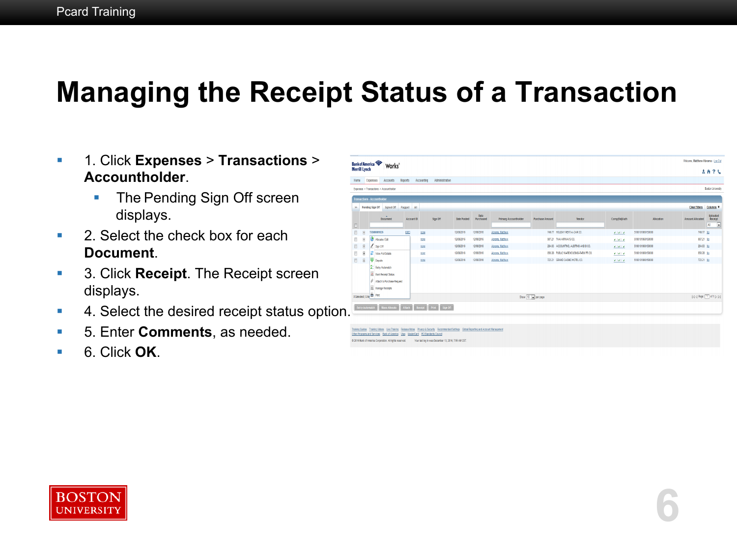### **Managing the Receipt Status of a Transaction**

- § 1. Click **Expenses** > **Transactions** > **Accountholder**.
	- **The Pending Sign Off screen** displays.
- 2. Select the check box for each **Document**.
- 3. Click **Receipt**. The Receipt screen displays.
- **4. Select the desired receipt status option.**
- 5. Enter **Comments**, as needed.
- § 6. Click **OK**.

| Home                                | Expenses                   | Accounts<br>Reports                                                      | Accounting   | Administration |                    |                   |                       |                        |                                       |               |                  |                                                                                                | <b>AA?4</b>                                             |
|-------------------------------------|----------------------------|--------------------------------------------------------------------------|--------------|----------------|--------------------|-------------------|-----------------------|------------------------|---------------------------------------|---------------|------------------|------------------------------------------------------------------------------------------------|---------------------------------------------------------|
|                                     |                            | Expenses > Transactions > Accountholder                                  |              |                |                    |                   |                       |                        |                                       |               |                  |                                                                                                | <b>Boston University</b>                                |
|                                     |                            |                                                                          |              |                |                    |                   |                       |                        |                                       |               |                  |                                                                                                |                                                         |
|                                     |                            | Transactions - Accountholder                                             |              |                |                    |                   |                       |                        |                                       |               |                  |                                                                                                |                                                         |
| ×                                   | Pending Sign Off           | Signed Off<br>Flagged                                                    | $\mathbf{M}$ |                |                    |                   |                       |                        |                                       |               |                  | <b>Clear Filters</b>                                                                           | Columns v                                               |
|                                     |                            | ×<br><b>Document</b><br>Account ID                                       |              | Sign Off       | <b>Date Posted</b> | Date<br>Purchased | Primary Accountholder | <b>Purchase Amount</b> | Vendor                                | Comp[ValjAuth | Allocation       | <b>Amount Allocated</b>                                                                        | Uploaded<br>Receipt<br>$\overline{\mathbf{r}}$<br>$\mu$ |
| m<br>$\begin{array}{c} \end{array}$ |                            | 6863<br>TXM00001026                                                      | ECCO         |                | 12/08/2016         | 12/08/2016        | Abrams, Mathew        |                        | 749.77 HOLDAY RENT-A-CAR CO.          | 9.1919        | 5100101060150000 | 749.77 No                                                                                      |                                                         |
| B<br>$[ \frac{1}{2} ]$              |                            | Alcoate / Edit                                                           | ECCO         |                | 12/08/2016         | 12/08/2016        | Abrams, Mathew        |                        | 907.21 THAI ARWAYS CO.                | $9.191 - 9$   | 5100101060150000 | 907.21 No                                                                                      |                                                         |
| B<br>$[ \frac{1}{2} ]$              | 1                          | Sign Off                                                                 | ECCO         |                | 12/08/2016         | 12/08/2016        | Abrams, Mathew        |                        | 284.63 ACCOUNTING, AUDITING AND B CO. | 9.1919        | 5100101060150000 | 284.63 No                                                                                      |                                                         |
| $[ \frac{1}{2} ]$<br>Đ              | E                          | View Full Details                                                        | ECCO         |                | 12/08/2016         | 12/08/2016        | Abrams, Mathew        |                        | 850.28 PUBLIC WAREHOUSING-FARM PR.CO. | 9.1919        | 5100101060150000 | 850.28 No                                                                                      |                                                         |
| $\boxplus$<br>B                     |                            | Dispute                                                                  | ECOR         |                | 12/08/2016         | 12/08/2016        | Abrams, Mathew        |                        | 723.21 GRAND CASINO HOTEL CO.         | 9.1919        | 5100101060150000 | 723.21 No                                                                                      |                                                         |
|                                     | - 10                       | St. Retry Automatch<br>Mark Receipt Status<br>Affach to Purchase Request |              |                |                    |                   |                       |                        |                                       |               |                  |                                                                                                |                                                         |
|                                     | 0 Selected   5 ile B Print | <b>Wanage Receipts</b>                                                   |              |                |                    |                   |                       | Show 10 x per page     |                                       |               |                  | $[ \mathcal{C}  \triangleleft]$ Page: $\boxed{1}$ of $1 \triangleright \triangleright \ket{1}$ |                                                         |

**6** 

Fraining Guides Training Videos Live Training Release Notes Philacy & Security Recommended Settings Global Reporting and Account Management Other Programs and Services Bank of America Visa MasterCard PCI Standards Council @ 2016 Bank of America Corporation. All rights reserved. Your last log in was December 13, 2016, 7:55 AM CST

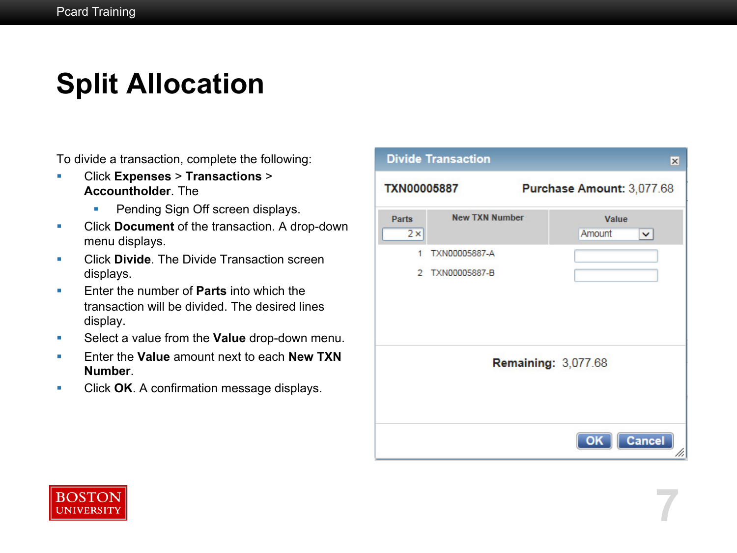### **Split Allocation**

To divide a transaction, complete the following:

- § Click **Expenses** > **Transactions** > **Accountholder**. The
	- **Pending Sign Off screen displays.**
- § Click **Document** of the transaction. A drop-down menu displays.
- **Click Divide**. The Divide Transaction screen displays.
- **Enter the number of Parts into which the** transaction will be divided. The desired lines display.
- Select a value from the **Value** drop-down menu.
- Enter the **Value** amount next to each **New TXN Number**.
- Click OK. A confirmation message displays.



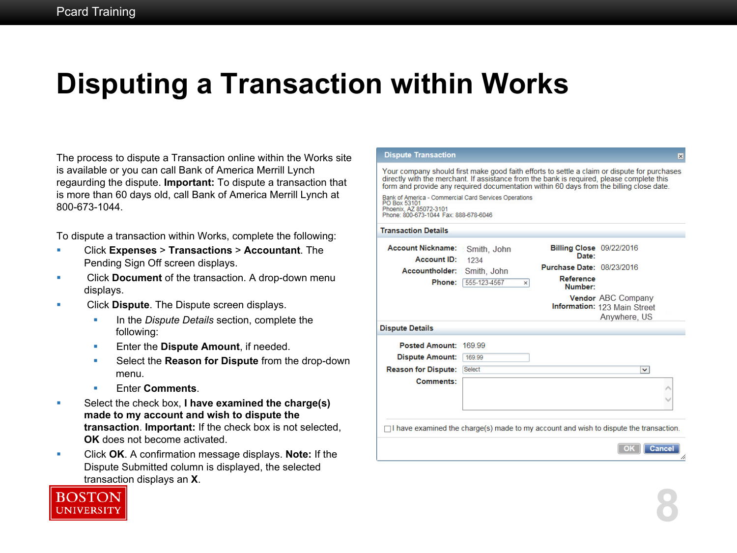### **Disputing a Transaction within Works**

The process to dispute a Transaction online within the Works site is available or you can call Bank of America Merrill Lynch regaurding the dispute. **Important:** To dispute a transaction that is more than 60 days old, call Bank of America Merrill Lynch at 800-673-1044.

To dispute a transaction within Works, complete the following:

- § Click **Expenses** > **Transactions** > **Accountant**. The Pending Sign Off screen displays.
- **EXECUTE:** Click **Document** of the transaction. A drop-down menu displays.
- § Click **Dispute**. The Dispute screen displays.
	- **In the** *Dispute Details* section, complete the following:
	- **Enter the Dispute Amount, if needed.**
	- § Select the **Reason for Dispute** from the drop-down menu.
	- Enter **Comments**.
- Select the check box, I have examined the charge(s) **made to my account and wish to dispute the transaction**. **Important:** If the check box is not selected, **OK** does not become activated.
- § Click **OK**. A confirmation message displays. **Note:** If the Dispute Submitted column is displayed, the selected transaction displays an **X**.



**8**